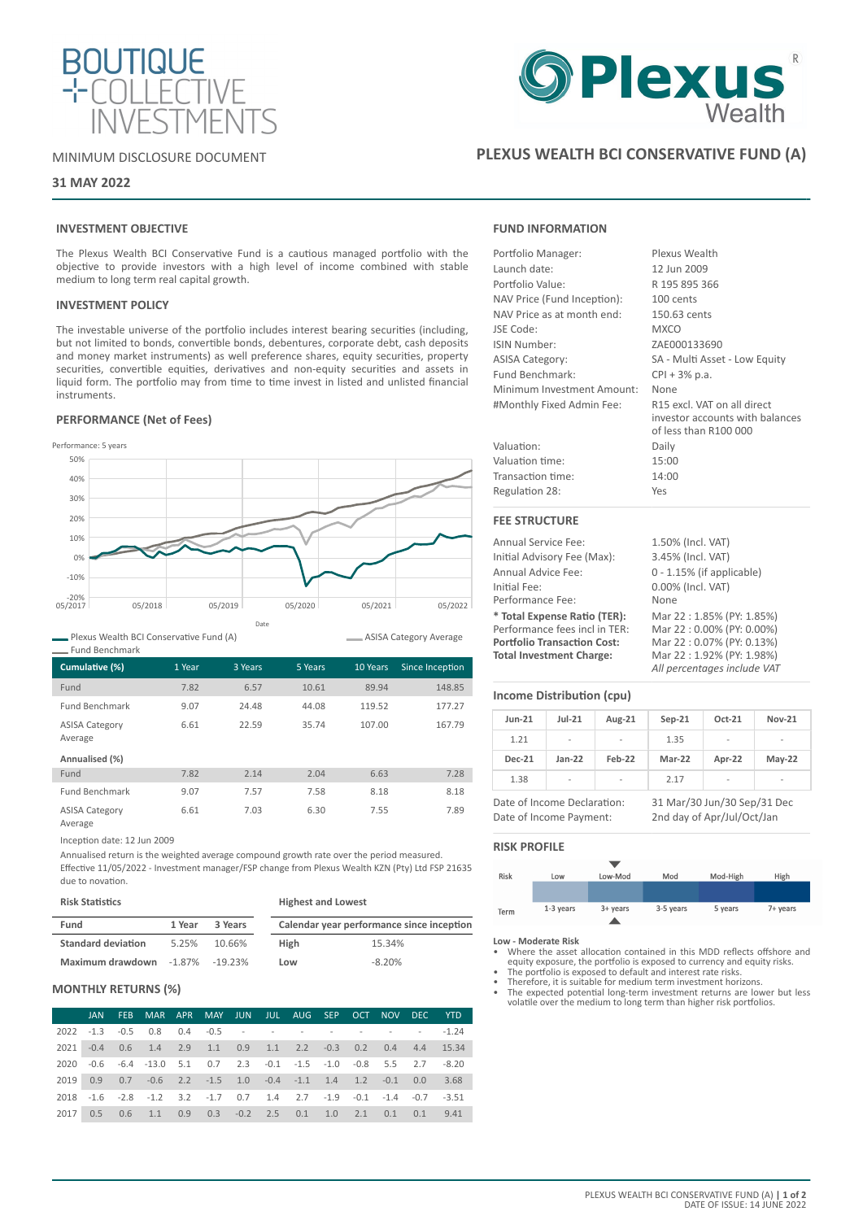

# MINIMUM DISCLOSURE DOCUMENT

# **31 MAY 2022**

# **INVESTMENT OBJECTIVE**

The Plexus Wealth BCI Conservative Fund is a cautious managed portfolio with the objective to provide investors with a high level of income combined with stable medium to long term real capital growth.

## **INVESTMENT POLICY**

The investable universe of the portfolio includes interest bearing securities (including, but not limited to bonds, convertible bonds, debentures, corporate debt, cash deposits and money market instruments) as well preference shares, equity securities, property securities, convertible equities, derivatives and non-equity securities and assets in liquid form. The portfolio may from time to time invest in listed and unlisted financial instruments.

# **PERFORMANCE (Net of Fees)**



Plexus Wealth BCI Conservative Fund (A)

| Cumulative (%)                   | 1 Year | 3 Years | 5 Years | 10 Years | Since Inception |
|----------------------------------|--------|---------|---------|----------|-----------------|
| Fund                             | 7.82   | 6.57    | 10.61   | 89.94    | 148.85          |
| <b>Fund Benchmark</b>            | 9.07   | 24.48   | 44.08   | 119.52   | 177.27          |
| <b>ASISA Category</b><br>Average | 6.61   | 22.59   | 35.74   | 107.00   | 167.79          |
| Annualised (%)                   |        |         |         |          |                 |
| Fund                             | 7.82   | 2.14    | 2.04    | 6.63     | 7.28            |
| <b>Fund Benchmark</b>            | 9.07   | 7.57    | 7.58    | 8.18     | 8.18            |
| <b>ASISA Category</b><br>Average | 6.61   | 7.03    | 6.30    | 7.55     | 7.89            |

Inception date: 12 Jun 2009

Annualised return is the weighted average compound growth rate over the period measured. Effective 11/05/2022 - Investment manager/FSP change from Plexus Wealth KZN (Pty) Ltd FSP 21635 due to novation.

| <b>Risk Statistics</b>                 |        |         | <b>Highest and Lowest</b> |                                           |  |  |
|----------------------------------------|--------|---------|---------------------------|-------------------------------------------|--|--|
| Fund                                   | 1 Year | 3 Years |                           | Calendar year performance since inception |  |  |
| <b>Standard deviation</b>              | 5.25%  | 10.66%  | <b>High</b>               | 15.34%                                    |  |  |
| <b>Maximum drawdown</b> -1.87% -19.23% |        |         | Low                       | $-8.20%$                                  |  |  |

# **MONTHLY RETURNS (%)**

|      |  |                                                                             |  |  |  |  | JAN FEB MAR APR MAY JUN JUL AUG SEP OCT NOV DEC YTD |
|------|--|-----------------------------------------------------------------------------|--|--|--|--|-----------------------------------------------------|
|      |  | 2022 -1.3 -0.5 0.8 0.4 -0.5 - - - - - - - - - - -1.24                       |  |  |  |  |                                                     |
|      |  | 2021 -0.4 0.6 1.4 2.9 1.1 0.9 1.1 2.2 -0.3 0.2 0.4 4.4 15.34                |  |  |  |  |                                                     |
|      |  | 2020 -0.6 -6.4 -13.0 5.1 0.7 2.3 -0.1 -1.5 -1.0 -0.8 5.5 2.7 -8.20          |  |  |  |  |                                                     |
|      |  | 2019  0.9  0.7  -0.6  2.2  -1.5  1.0  -0.4  -1.1  1.4  1.2  -0.1  0.0  3.68 |  |  |  |  |                                                     |
|      |  | 2018 -1.6 -2.8 -1.2 3.2 -1.7 0.7 1.4 2.7 -1.9 -0.1 -1.4 -0.7 -3.51          |  |  |  |  |                                                     |
| 2017 |  | 0.5 0.6 1.1 0.9 0.3 -0.2 2.5 0.1 1.0 2.1 0.1 0.1 9.41                       |  |  |  |  |                                                     |

# **Plexus**<br>Wealth

# **PLEXUS WEALTH BCI CONSERVATIVE FUND (A)**

# **FUND INFORMATION**

| Portfolio Manager:          | Plexus Wealth                                                                           |
|-----------------------------|-----------------------------------------------------------------------------------------|
| Launch date:                | 12 Jun 2009                                                                             |
| Portfolio Value:            | R 195 895 366                                                                           |
| NAV Price (Fund Inception): | 100 cents                                                                               |
| NAV Price as at month end:  | 150.63 cents                                                                            |
| JSE Code:                   | <b>MXCO</b>                                                                             |
| ISIN Number:                | ZAE000133690                                                                            |
| <b>ASISA Category:</b>      | SA - Multi Asset - Low Equity                                                           |
| Fund Benchmark:             | CPI + 3% p.a.                                                                           |
| Minimum Investment Amount:  | None                                                                                    |
| #Monthly Fixed Admin Fee:   | R15 excl. VAT on all direct<br>investor accounts with balances<br>of less than R100 000 |
| Valuation:                  | Daily                                                                                   |
| Valuation time:             | 15:00                                                                                   |
| Transaction time:           | 14:00                                                                                   |
| Regulation 28:              | Yes                                                                                     |
| <b>FEE STRUCTURE</b>        |                                                                                         |
| Annual Service Fee:         | 1.50% (Incl. VAT)                                                                       |
| Initial Advisory Fee (Max): | 3.45% (Incl. VAT)                                                                       |
| Annual Advice Fee:          | $0 - 1.15%$ (if applicable)                                                             |
| Initial Fee:                | 0.00% (Incl. VAT)                                                                       |
| Performance Fee:            | None                                                                                    |

**\* Total Expense Ratio (TER):** Mar 22 : 1.85% (PY: 1.85%) Performance fees incl in TER: Mar 22 : 0.00% (PY: 0.00%)<br> **Portfolio Transaction Cost:** Mar 22 : 0.07% (PY: 0.13%) **Portfolio Transaction Cost:**<br>Total Investment Charge:

ASISA Category Average

## **Income Distribution (cpu)**

| <b>Jun-21</b> | $Jul-21$                 | Aug-21                   | $Sep-21$ | Oct-21                   | <b>Nov-21</b>            |
|---------------|--------------------------|--------------------------|----------|--------------------------|--------------------------|
| 1.21          | $\overline{\phantom{0}}$ | ۰                        | 1.35     | $\overline{\phantom{0}}$ | -                        |
| <b>Dec-21</b> | $Jan-22$                 | Feb-22                   | Mar-22   | Apr-22                   | $May-22$                 |
| 1.38          | ۰                        | $\overline{\phantom{a}}$ | 2.17     | $\overline{\phantom{a}}$ | $\overline{\phantom{a}}$ |

Date of Income Declaration: 31 Mar/30 Jun/30 Sep/31 Dec Date of Income Payment: 2nd day of Apr/Jul/Oct/Jan

**Total Investment Charge:** Mar 22 : 1.92% (PY: 1.98%) *All percentages include VAT*

# **RISK PROFILE**

| Risk | Low       | Low-Mod  | Mod       | Mod-High | High     |
|------|-----------|----------|-----------|----------|----------|
|      |           |          |           |          |          |
|      |           |          |           |          |          |
| Term | 1-3 years | 3+ years | 3-5 years | 5 years  | 7+ years |
|      |           |          |           |          |          |

#### **Low - Moderate Risk**

• Where the asset allocation contained in this MDD reflects offshore and equity exposure, the portfolio is exposed to currency and equity risks. • The portfolio is exposed to default and interest rate risks.

- 
- Therefore, it is suitable for medium term investment horizons.
- The expected potential long-term investment returns are lower but less volatile over the medium to long term than higher risk portfolios.